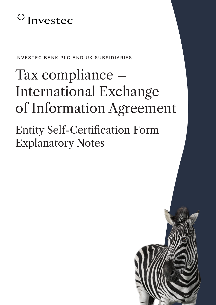## $\bigoplus$  Investec

INVESTEC BANK PLC AND UK SUBSIDIARIES

# Tax compliance – International Exchange of Information Agreement

Entity Self-Certification Form Explanatory Notes

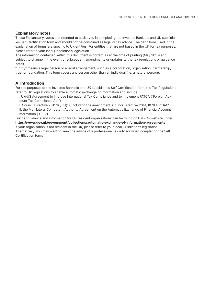#### **Explanatory notes**

These Explanatory Notes are intended to assist you in completing the Investec Bank plc and UK subsidiaries Self Certification form and should not be construed as legal or tax advice. The definitions used in the explanation of terms are specific to UK entities. For entities that are not based in the UK for tax purposes, please refer to your local jurisdiction's legislation.

The information contained within this document is correct as at the time of printing (May 2018) and subject to change in the event of subsequent amendments or updates to the tax regulations or guidance notes.

"Entity" means a legal person or a legal arrangement, such as a corporation, organisation, partnership, trust or foundation. This term covers any person other than an individual (i.e. a natural person).

#### **A. Introduction**

For the purposes of the Investec Bank plc and UK subsidiaries Self Certification form, the Tax Regulations refer to UK regulations to enable automatic exchange of information and include:

I. UK-US Agreement to Improve International Tax Compliance and to Implement FATCA ("Foreign Account Tax Compliance Act")

II. Council Directive 2011/16/EU(c), including the amendment: Council Directive 2014/107/EU ("DAC") III. the Multilateral Competent Authority Agreement on the Automatic Exchange of Financial Account Information ("CRS")

Further guidance and information for UK resident organisations can be found on HMRC's website under **https://www.gov.uk/government/collections/automatic-exchange-of-information-agreements** If your organisation is not resident in the UK, please refer to your local jurisdiction's legislation. Alternatively, you may want to seek the advice of a professional tax advisor when completing the Self Certification form.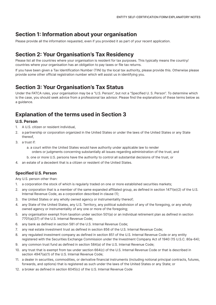## **Section 1: Information about your organisation**

Please provide all the information requested, even if you provided it as part of your recent application.

## **Section 2: Your Organisation's Tax Residency**

Please list all the countries where your organisation is resident for tax purposes. This typically means the country/ countries where your organisation has an obligation to pay taxes or file tax returns.

If you have been given a Tax Identification Number (TIN) by the local tax authority, please provide this. Otherwise please provide some other official registration number which will assist us in identifying you.

## **Section 3: Your Organisation's Tax Status**

Under the FATCA rules, your organisation may be a "U.S. Person", but not a "Specified U. S. Person". To determine which is the case, you should seek advice from a professional tax advisor. Please find the explanations of these terms below as a guidance.

## **Explanation of the terms used in Section 3**

#### **U.S. Person**

- 1. A U.S. citizen or resident individual,
- 2. a partnership or corporation organized in the United States or under the laws of the United States or any State thereof,
- 3. a trust if:
	- a. a court within the United States would have authority under applicable law to render orders or judgments concerning substantially all issues regarding administration of the trust, and
	- b. one or more U.S. persons have the authority to control all substantial decisions of the trust, or
- 4. an estate of a decedent that is a citizen or resident of the United States.

#### **Specified U.S. Person**

Any U.S. person other than:

- 1. a corporation the stock of which is regularly traded on one or more established securities markets;
- 2. any corporation that is a member of the same expanded affiliated group, as defined in section 1471(e)(2) of the U.S. Internal Revenue Code, as a corporation described in clause (1);
- 3. the United States or any wholly owned agency or instrumentality thereof;
- 4. any State of the United States, any U.S. Territory, any political subdivision of any of the foregoing, or any wholly owned agency or instrumentality of any one or more of the foregoing;
- 5. any organisation exempt from taxation under section 501(a) or an individual retirement plan as defined in section 7701(a)(37) of the U.S. Internal Revenue Code;
- 6. any bank as defined in section 581 of the U.S. Internal Revenue Code;
- 7. any real estate investment trust as defined in section 856 of the U.S. Internal Revenue Code;
- 8. any regulated investment company as defined in section 851 of the U.S. Internal Revenue Code or any entity registered with the Securities Exchange Commission under the Investment Company Act of 1940 (15 U.S.C. 80a-64);
- 9. any common trust fund as defined in section 584(a) of the U.S. Internal Revenue Code;
- 10. any trust that is exempt from tax under section 664(c) of the U.S. Internal Revenue Code or that is described in section 4947(a)(1) of the U.S. Internal Revenue Code;
- 11. a dealer in securities, commodities, or derivative financial instruments (including notional principal contracts, futures, forwards, and options) that is registered as such under the laws of the United States or any State; or
- 12. a broker as defined in section 6045(c) of the U.S. Internal Revenue Code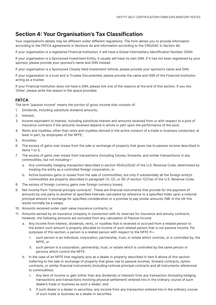## **Section 4: Your Organisation's Tax Classification**

Your organisation's details may be different under different regulations. The form allows you to provide information according to the FATCA agreements in Sections 4a and information according to the CRS/DAC in Section 4b.

If your organisation is a registered Financial Institution, it will have a Global Intermediary Identification Number (GIIN).

If your organisation is a Sponsored Investment Entity, it usually will have its own GIIN. If it has not been registered by your sponsor, please provide your sponsor's name and GIIN instead.

If your organisation is a Sponsored Closely Held Investment Vehicle, please provide your sponsor's name and GIIN.

If your organisation is a trust and is Trustee Documented, please provide the name and GIIN of the Financial Institution acting as a trustee.

If your Financial Institution does not have a GIIN, please tick one of the reasons at the end of this section. If you tick 'Other', please write the reason in the space provided.

#### **FATCA**

The term "passive income" means the portion of gross income that consists of:

- 1. Dividends, including substitute dividend amounts;
- 2. Interest;
- 3. Income equivalent to interest, including substitute interest and amounts received from or with respect to a pool of insurance contracts if the amounts received depend in whole or part upon the performance of the pool;
- 4. Rents and royalties, other than rents and royalties derived in the active conduct of a trade or business conducted, at least in part, by employees of the NFFE;
- 5. Annuities;
- 6. The excess of gains over losses from the sale or exchange of property that gives rise to passive income described in items 1 to 5;
- 7. The excess of gains over losses from transactions (including futures, forwards, and similar transactions) in any commodities, but not including
	- a. Any commodity hedging transaction described in section 954(c)(5)(A) of the U.S. Revenue Code, determined by treating the entity as a controlled foreign corporation; or
	- b. Active business gains or losses from the sale of commodities, but only if substantially all the foreign entity's commodities are property described in paragraph (1), (2), or (8) of section 1221(a) of the U.S. Revenue Code;
- 8. The excess of foreign currency gains over foreign currency losses;
- 9. Net income from "notional principle contracts". These are financial instruments that provide for the payment of amounts by one party to another at specified intervals calculated by reference to a specified index upon a notional principal amount in exchange for specified consideration or a promise to pay similar amounts (NB: in the UK this would normally be a swap);
- 10. Amounts received under cash value insurance contracts; or
- 11. Amounts earned by an insurance company in connection with its reserves for insurance and annuity contracts. However, the following amounts are excluded from any calculation of Passive Income
	- a. Any income from interest, dividends, rents, or royalties that is received or accrued from a related person to the extent such amount is properly allocable to income of such related person that is not passive income. For purposes of this section, a person is a related person with respect to the NFFE if—
		- I. such person is an individual, corporation, partnership, trust, or estate which controls, or is controlled by, the NFFE, or
		- II. such person is a corporation, partnership, trust, or estate which is controlled by the same person or persons which control the NFFE.
	- b. In the case of an NFFE that regularly acts as a dealer in property described in item 6 above of this section (referring to the sale or exchange of property that gives rise to passive income), forward contracts, option contracts, or similar financial instruments (including notional principal contracts and all instruments referenced to commodities)
		- I. Any item of income or gain (other than any dividends or interest) from any transaction (including hedging transactions and transactions involving physical settlement) entered into in the ordinary course of such dealer's trade or business as such a dealer; and
		- II. If such dealer is a dealer in securities, any income from any transaction entered into in the ordinary course of such trade or business as a dealer in securities.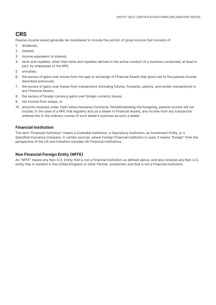### **CRS**

Passive income would generally be considered to include the portion of gross income that consists of:

- 1. dividends;
- 2. interest;
- 3. income equivalent to interest;
- 4. rents and royalties, other than rents and royalties derived in the active conduct of a business conducted, at least in part, by employees of the NFE;
- 5. annuities;
- 6. the excess of gains over losses from the sale or exchange of Financial Assets that gives rise to the passive income described previously;
- 7. the excess of gains over losses from transactions (including futures, forwards, options, and similar transactions) in any Financial Assets;
- 8. the excess of foreign currency gains over foreign currency losses;
- 9. net income from swaps; or
- 10. amounts received under Cash Value Insurance Contracts. Notwithstanding the foregoing, passive income will not include, in the case of a NFE that regularly acts as a dealer in Financial Assets, any income from any transaction entered into in the ordinary course of such dealer's business as such a dealer.

#### **Financial Institution**

The term "Financial Institution" means a Custodial Institution, a Depository Institution, an Investment Entity, or a Specified Insurance Company. In certain sources, where Foreign Financial Institution is used, it means "foreign" from the perspective of the US and therefore includes UK Financial Institutions.

#### **Non Financial Foreign Entity (NFFE)**

An "NFFE" means any Non-U.S. Entity that is not a Financial Institution as defined above, and also includes any Non-U.S. entity that is resident in the United Kingdom or other Partner Jurisdiction and that is not a Financial Institution.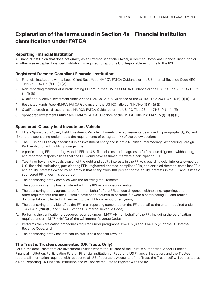## **Explanation of the terms used in Section 4a – Financial Institution classification under FATCA**

#### **Reporting Financial Institution**

A Financial Institution that does not qualify as an Exempt Beneficial Owner, a Deemed Compliant Financial Institution or an otherwise excepted Financial Institution, is required to report its U.S. Reportable Accounts to the IRS.

#### **Registered Deemed Compliant Financial Institution:**

- 1. Financial Institutions with a Local Client Base \*see HMRC's FATCA Guidance or the US Internal Revenue Code (IRC) Title 26: 1.1471-5 (f) (1) (i) (A)
- 2. Non-reporting member of a Participating FFI group \*see HMRC's FATCA Guidance or the US IRC Title 26: 1.1471-5 (f) (1) (i) (B)
- 3. Qualified Collective Investment Vehicle \*see HMRC's FATCA Guidance or the US IRC Title 26: 1.1471-5 (f) (1) (i) (C)
- 4. Restricted Funds \*see HMRC's FATCA Guidance or the US IRC Title 26: 1.1471-5 (f) (1) (i) (D)
- 5. Qualified credit card issuers \*see HMRC's FATCA Guidance or the US IRC Title 26: 1.1471-5 (f) (1) (i) (E)
- 6. Sponsored Investment Entity \*see HMRC's FATCA Guidance or the US IRC Title 26: 1.1471-5 (f) (1) (i) (F)

#### **Sponsored, Closely held Investment Vehicle**

An FFI is a Sponsored, Closely held Investment Vehicle if it meets the requirements described in paragraphs (1), (2) and (3) and the sponsoring entity meets the requirements of paragraph (4) of the below section:

- 1. The FFI is an FFI solely because it is an investment entity and is not a Qualified Intermediary, Withholding Foreign Partnership, or Withholding Foreign Trust.
- 2. A participating FFI, reporting Model 1 FFI, or U.S. financial institution agrees to fulfil all due diligence, withholding, and reporting responsibilities that the FFI would have assumed if it were a participating FFI.
- 3. Twenty or fewer individuals own all of the debt and equity interests in the FFI (disregarding debt interests owned by U.S. financial institutions, participating FFIs, registered deemed-compliant FFIs, and certified deemed-compliant FFIs and equity interests owned by an entity if that entity owns 100 percent of the equity interests in the FFI and is itself a sponsored FFI under this paragraph).
- 4. The sponsoring entity complies with the following requirements:
- I. The sponsoring entity has registered with the IRS as a sponsoring entity;
- II. The sponsoring entity agrees to perform, on behalf of the FFI, all due diligence, withholding, reporting, and other requirements that the FFI would have been required to perform if it were a participating FFI and retains documentation collected with respect to the FFI for a period of six years;
- III. The sponsoring entity identifies the FFI in all reporting completed on the FFI's behalf to the extent required under 1.1471-4(d)(2)(ii)(C) and 1.1474-1 of the US Internal Revenue Code;
- IV. Performs the verification procedures required under 1.1471-4(f) on behalf of the FFI, including the certification required under 1.1471- 4(f)(3) of the US Internal Revenue Code;
- V. Performs the verification procedures required under paragraphs 1.1471-5 (j) and 1.1471-5 (k) of the US Internal Revenue Code; and
- VI. The sponsoring entity has not had its status as a sponsor revoked.

#### **The Trust is Trustee documented (UK Trusts Only)**

For UK resident Trusts that are Investment Entities where the Trustee of the Trust is a Reporting Model 1 Foreign Financial Institution, Participating Foreign Financial Institution or Reporting US Financial Institution, and the Trustee reports all information required with respect to all U.S. Reportable Accounts of the Trust, the Trust itself will be treated as a Non-Reporting UK Financial Institution and will not be required to register with the IRS.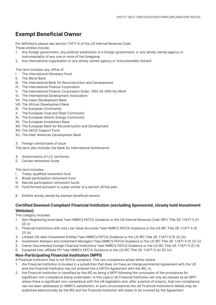## **Exempt Beneficial Owner**

For definitions please see section 1.1471-6 of the US Internal Revenue Code. These entities include:

- 1. Any foreign government, any political subdivision of a foreign government, or any wholly owned agency or instrumentality of any one or more of the foregoing
- 2. Any international organisation or any wholly owned agency or instrumentality thereof.

This term includes any office of:

- I. The International Monetary Fund
- II. The World Bank
- III. The International Bank for Reconstruction and Development
- IV. The International Finance Corporation
- V. The International Finance Corporation Order, 1955 (SI 1955 No.1954)
- VI. The International Development Association
- VII. The Asian Development Bank
- VIII. The African Development Bank
- IX. The European Community
- X. The European Coal and Steel Community
- XI. The European Atomic Energy Community
- XII. The European Investment Bank
- XIII. The European Bank for Reconstruction and Development
- XIV. The OECD Support Fund
- XV. The Inter-American Development Bank
- 3. Foreign central bank of issue

This term also includes the Bank for International Settlements

- 4. Governments of U.S. territories
- 5. Certain retirement funds

#### This term includes:

- I. Treaty-qualified retirement fund
- II. Broad participation retirement fund
- III. Narrow participation retirement funds
- IV. Fund formed pursuant to a plan similar to a section 401(a) plan
- 6. Entities wholly owned by exempt beneficial owners

#### **Certified Deemed Compliant Financial Institution (excluding Sponsored, closely held Investment Vehicles)**

This category includes:

- 1. Non-Registering local bank \*see HMRC's FATCA Guidance or the US Internal Revenue Code (IRC) Title 26: 1.1471-5 (f)  $(2)$  (i)
- 2. Financial Institutions with only Low Value Accounts \*see HMRC's FATCA Guidance or the US IRC Title 26: 1.1471-5 (f) (2) (ii)
- 3. Limited Life debt Investment Entities \*see HMRC's FATCA Guidance or the US IRC Title 26: 1.1471-5 (f) (2) (iv)
- 4. Investment Advisers and Investment Managers \*see HMRC's FATCA Guidance or the US IRC Title 26: 1.1471-5 (f) (2) (v)
- 5. Owner Documented Foreign Financial Institutions \*see HMRC's FATCA Guidance or the US IRC Title 26: 1.1471-5 (f) (3)
- 6. Excepted inter-affiliate FFI \*see HMRC's FATCA Guidance or the US IRC Title 26: 1.1471-5 (e) (5) (iv)

#### **Non-Participating Financial Institution (NPFI)**

A Financial Institution that is not FATCA compliant. This non-compliance arises either where:

- 1. the Financial Institution is located in a jurisdiction that does not have an Intergovernmental Agreement with the US and the Financial Institution has not entered into a FATCA Agreement with the IRS, or,
- 2. the Financial Institution is classified by the IRS as being a NPFI following the conclusion of the procedures for significant non-compliance being undertaken. In this case a UK Financial Institution will only be classed as an NPFI where there is significant non-compliance with the UK legislation and, after a period of enquiry, that non-compliance has not been addressed to HMRC's satisfaction. In such circumstances the UK Financial Institution's details may be published electronically by the IRS and the Financial Institution will cease to be covered by the Agreement.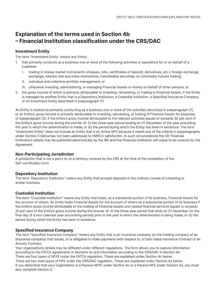## **Explanation of the terms used in Section 4b – Financial Institution classification under the CRS/DAC**

#### **Investment Entity**

The term "Investment Entity" means any Entity:

- 1. that primarily conducts as a business one or more of the following activities or operations for or on behalf of a customer:
	- I. trading in money market instruments (cheques, bills, certificates of deposit, derivatives, etc.); foreign exchange; exchange, interest rate and index instruments; transferable securities; or commodity futures trading;
	- II. individual and collective portfolio management; or
	- III. otherwise investing, administering, or managing Financial Assets or money on behalf of other persons; or
- 2. the gross income of which is primarily attributable to investing, reinvesting, or trading in Financial Assets, if the Entity is managed by another Entity that is a Depository Institution, a Custodial Institution, a Specified Insurance Company, or an Investment Entity described in subparagraph (1).

An Entity is treated as primarily conducting as a business one or more of the activities described in subparagraph (1), or an Entity's gross income is primarily attributable to investing, reinvesting, or trading in Financial Assets for purposes of subparagraph (2), if the Entity's gross income attributable to the relevant activities equals or exceeds 50 per cent of the Entity's gross income during the shorter of: (i) the three-year period ending on 31 December of the year preceding the year in which the determination is made; or (ii) the period during which the Entity has been in existence. The term "Investment Entity" does not include an Entity that is an Active NFE because it meets any of the criteria in subparagraphs under Section 5 below.has not been addressed to HMRC's satisfaction. In such circumstances the UK Financial Institution's details may be published electronically by the IRS and the Financial Institution will cease to be covered by the Agreement.

#### **Non-Participating Jurisdiction**

A jurisdiction that is not a party to, or a territory covered by the CRS at the time of the completion of the Self-certification form.

#### **Depository Institution**

The term "Depository Institution" means any Entity that accepts deposits in the ordinary course of a banking or similar business.

#### **Custodial Institution**

The term "Custodial Institution" means any Entity that holds, as a substantial portion of its business, Financial Assets for the account of others. An Entity holds Financial Assets for the account of others as a substantial portion of its business if the Entity's gross income attributable to the holding of Financial Assets and related financial services equals or exceeds 20 per cent of the Entity's gross income during the shorter of: (i) the three-year period that ends on 31 December (or the final day of a non-calendar year accounting period) prior to the year in which the determination is being made; or (ii) the period during which the Entity has been in existence.

#### **Specified Insurance Company**

The term "Specified Insurance Company" means any Entity that is an insurance company (or the holding company of an insurance company) that issues, or is obligated to make payments with respect to, a Cash Value Insurance Contract or an Annuity Contract.

Your organisation's details may be different under different regulations. The form allows you to capture information according to the FATCA agreements in Sections 4c and information according to the CRS/DAC in Section 4d There are four types of NFFE under the FATCA regulation. These are explained under Section 4c below. There are two main types of NFE under the CRS/DAC regulation. These are explained under Section 4d below. If you determine that your organisation is a Passive NFFE under Section 4c or a Passive NFE under Section 4d, you must also complete Section 5.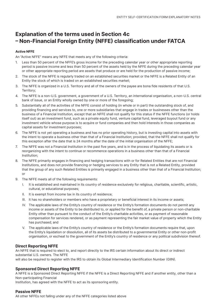## **Explanation of the terms used in Section 4c – Non-Financial Foreign Entity (NFFE) classification under FATCA**

#### **Active NFFE**

An "Active NFFE" means any NFFE that meets any of the following criteria:

- 1. Less than 50 percent of the NFFE's gross income for the preceding calendar year or other appropriate reporting period is passive income and less than 50 percent of the assets held by the NFFE during the preceding calendar year or other appropriate reporting period are assets that produce or are held for the production of passive income;
- 2. The stock of the NFFE is regularly traded on an established securities market or the NFFE is a Related Entity of an Entity the stock of which is traded on an established securities market;
- 3. The NFFE is organized in a U.S. Territory and all of the owners of the payee are bona fide residents of that U.S. Territory;
- 4. The NFFE is a non-U.S. government, a government of a U.S. Territory, an international organisation, a non-U.S. central bank of issue, or an Entity wholly owned by one or more of the foregoing;
- 5. Substantially all of the activities of the NFFE consist of holding (in whole or in part) the outstanding stock of, and providing financing and services to, one or more subsidiaries that engage in trades or businesses other than the business of a Financial Institution, except that an NFFE shall not qualify for this status if the NFFE functions (or holds itself out) as an investment fund, such as a private equity fund, venture capital fund, leveraged buyout fund or any investment vehicle whose purpose is to acquire or fund companies and then hold interests in those companies as capital assets for investment purposes;
- 6. The NFFE is not yet operating a business and has no prior operating history, but is investing capital into assets with the intent to operate a business other than that of a Financial Institution; provided, that the NFFE shall not qualify for this exception after the date that is 24 months after the date of the initial organisation of the NFFE;
- 7. The NFFE was not a Financial Institution in the past five years, and is in the process of liquidating its assets or is reorganizing with the intent to continue or recommence operations in a business other than that of a Financial Institution;
- 8. The NFFE primarily engages in financing and hedging transactions with or for Related Entities that are not Financial Institutions, and does not provide financing or hedging services to any Entity that is not a Related Entity, provided that the group of any such Related Entities is primarily engaged in a business other than that of a Financial Institution; or
- 9. The NFFE meets all of the following requirements:
	- I. It is established and maintained in its country of residence exclusively for religious, charitable, scientific, artistic, cultural, or educational purposes;
	- II. It is exempt from income tax in its country of residence;
	- III. It has no shareholders or members who have a proprietary or beneficial interest in its income or assets;
	- IV. The applicable laws of the Entity's country of residence or the Entity's formation documents do not permit any income or assets of the Entity to be distributed to, or applied for the benefit of, a private person or non-charitable Entity other than pursuant to the conduct of the Entity's charitable activities, or as payment of reasonable compensation for services rendered, or as payment representing the fair market value of property which the Entity has purchased; and
	- V. The applicable laws of the Entity's country of residence or the Entity's formation documents require that, upon the Entity's liquidation or dissolution, all of its assets be distributed to a governmental Entity or other non-profit organisation, or escheat to the government of the Entity's country of residence or any political subdivision thereof.

#### **Direct Reporting NFFE**

An NFFE that is required to elect to, and report directly to the IRS certain information about its direct or indirect substantial U.S. owners. The NFFE

will also be required to register with the IRS to obtain its Global Intermediary Identification Number (GIIN).

#### **Sponsored Direct Reporting NFFE**

A NFFE is a Sponsored Direct Reporting NFFE if the NFFE is a Direct Reporting NFFE and if another entity, other than a Non-participating Financial

Institution, has agreed with the NFFE to act as its sponsoring entity.

#### **Passive NFFE**

All other NFFEs not falling under any of the NFFE categories listed above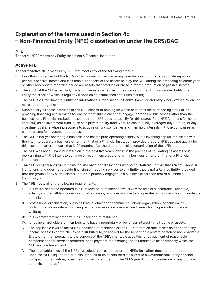## **Explanation of the terms used in Section 4d – Non-Financial Entity (NFE) classification under the CRS/DAC**

#### **NFE**

The term "NFE" means any Entity that is not a Financial Institution.

#### **Active NFE**

The term "Active NFE" means any NFE that meets any of the following criteria:

- 1. Less than 50 per cent of the NFE's gross income for the preceding calendar year or other appropriate reporting period is passive income and less than 50 per cent of the assets held by the NFE during the preceding calendar year or other appropriate reporting period are assets that produce or are held for the production of passive income
- 2. The stock of the NFE is regularly traded on an established securities market or the NFE is a Related Entity of an Entity the stock of which is regularly traded on an established securities market;
- 3. The NFE is a Governmental Entity, an International Organisation, a Central Bank , or an Entity wholly owned by one or more of the foregoing;
- 4. Substantially all of the activities of the NFE consist of holding (in whole or in part) the outstanding stock of, or providing financing and services to, one or more subsidiaries that engage in trades or businesses other than the business of a Financial Institution, except that an NFE does not qualify for this status if the NFE functions (or holds itself out) as an investment fund, such as a private equity fund, venture capital fund, leveraged buyout fund, or any investment vehicle whose purpose is to acquire or fund companies and then hold interests in those companies as capital assets for investment purposes;
- 5. The NFE is not yet operating a business and has no prior operating history, but is investing capital into assets with the intent to operate a business other than that of a Financial Institution, provided that the NFE does not qualify for this exception after the date that is 24 months after the date of the initial organisation of the NFE;
- 6. The NFE was not a Financial Institution in the past five years, and is in the process of liquidating its assets or is reorganizing with the intent to continue or recommence operations in a business other than that of a Financial Institution;
- 7. The NFE primarily engages in financing and hedging transactions with, or for, Related Entities that are not Financial Institutions, and does not provide financing or hedging services to any Entity that is not a Related Entity, provided that the group of any such Related Entities is primarily engaged in a business other than that of a Financial Institution; or
- 8. The NFE meets all of the following requirements:
	- I. It is established and operated in its jurisdiction of residence exclusively for religious, charitable, scientific, artistic, cultural, athletic, or educational purposes; or it is established and operated in its jurisdiction of residence and it is a
	- II. professional organisation, business league, chamber of commerce, labour organisation, agricultural or horticultural organisation, civic league or an organisation operated exclusively for the promotion of social welfare;
	- III. It is exempt from income tax in its jurisdiction of residence;
	- IV. It has no shareholders or members who have a proprietary or beneficial interest in its income or assets;
	- V. The applicable laws of the NFE's jurisdiction of residence or the NFE's formation documents do not permit any income or assets of the NFE to be distributed to, or applied for the benefit of, a private person or non-charitable Entity other than pursuant to the conduct of the NFE's charitable activities, or as payment of reasonable compensation for services rendered, or as payment representing the fair market value of property which the NFE has purchased; and
	- VI. The applicable laws of the NFE's jurisdiction of residence or the NFE's formation documents require that, upon the NFE's liquidation or dissolution, all of its assets be distributed to a Governmental Entity or other non-profit organisation, or escheat to the government of the NFE's jurisdiction of residence or any political subdivision thereof.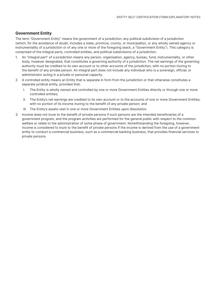#### **Government Entity**

The term "Government Entity" means the government of a jurisdiction, any political subdivision of a jurisdiction (which, for the avoidance of doubt, includes a state, province, county, or municipality), or any wholly owned agency or instrumentality of a jurisdiction or of any one or more of the foregoing (each, a "Government Entity"). This category is comprised of the integral parts, controlled entities, and political subdivisions of a jurisdiction.

- 1. An "integral part" of a jurisdiction means any person, organisation, agency, bureau, fund, instrumentality, or other body, however designated, that constitutes a governing authority of a jurisdiction. The net earnings of the governing authority must be credited to its own account or to other accounts of the jurisdiction, with no portion inuring to the benefit of any private person. An integral part does not include any individual who is a sovereign, official, or administrator acting in a private or personal capacity.
- 2. A controlled entity means an Entity that is separate in form from the jurisdiction or that otherwise constitutes a separate juridical entity, provided that:
	- I. The Entity is wholly owned and controlled by one or more Government Entities directly or through one or more controlled entities;
	- II. The Entity's net earnings are credited to its own account or to the accounts of one or more Government Entities, with no portion of its income inuring to the benefit of any private person; and
	- III. The Entity's assets vest in one or more Government Entities upon dissolution.
- 3. Income does not inure to the benefit of private persons if such persons are the intended beneficiaries of a government program, and the program activities are performed for the general public with respect to the common welfare or relate to the administration of some phase of government. Notwithstanding the foregoing, however, income is considered to inure to the benefit of private persons if the income is derived from the use of a government entity to conduct a commercial business, such as a commercial banking business, that provides financial services to private persons.